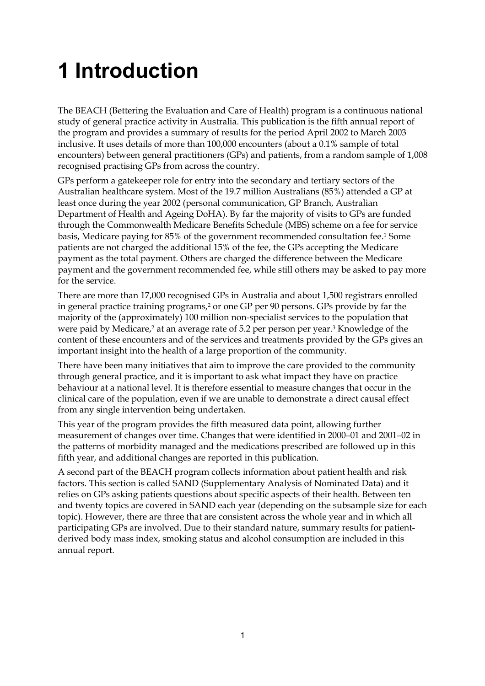# **1 Introduction**

The BEACH (Bettering the Evaluation and Care of Health) program is a continuous national study of general practice activity in Australia. This publication is the fifth annual report of the program and provides a summary of results for the period April 2002 to March 2003 inclusive. It uses details of more than 100,000 encounters (about a 0.1% sample of total encounters) between general practitioners (GPs) and patients, from a random sample of 1,008 recognised practising GPs from across the country.

GPs perform a gatekeeper role for entry into the secondary and tertiary sectors of the Australian healthcare system. Most of the 19.7 million Australians (85%) attended a GP at least once during the year 2002 (personal communication, GP Branch, Australian Department of Health and Ageing DoHA). By far the majority of visits to GPs are funded through the Commonwealth Medicare Benefits Schedule (MBS) scheme on a fee for service basis, Medicare paying for 85% of the government recommended consultation fee.1 Some patients are not charged the additional 15% of the fee, the GPs accepting the Medicare payment as the total payment. Others are charged the difference between the Medicare payment and the government recommended fee, while still others may be asked to pay more for the service.

There are more than 17,000 recognised GPs in Australia and about 1,500 registrars enrolled in general practice training programs,<sup>2</sup> or one GP per 90 persons. GPs provide by far the majority of the (approximately) 100 million non-specialist services to the population that were paid by Medicare,<sup>2</sup> at an average rate of 5.2 per person per year.<sup>3</sup> Knowledge of the content of these encounters and of the services and treatments provided by the GPs gives an important insight into the health of a large proportion of the community.

There have been many initiatives that aim to improve the care provided to the community through general practice, and it is important to ask what impact they have on practice behaviour at a national level. It is therefore essential to measure changes that occur in the clinical care of the population, even if we are unable to demonstrate a direct causal effect from any single intervention being undertaken.

This year of the program provides the fifth measured data point, allowing further measurement of changes over time. Changes that were identified in 2000–01 and 2001–02 in the patterns of morbidity managed and the medications prescribed are followed up in this fifth year, and additional changes are reported in this publication.

A second part of the BEACH program collects information about patient health and risk factors. This section is called SAND (Supplementary Analysis of Nominated Data) and it relies on GPs asking patients questions about specific aspects of their health. Between ten and twenty topics are covered in SAND each year (depending on the subsample size for each topic). However, there are three that are consistent across the whole year and in which all participating GPs are involved. Due to their standard nature, summary results for patientderived body mass index, smoking status and alcohol consumption are included in this annual report.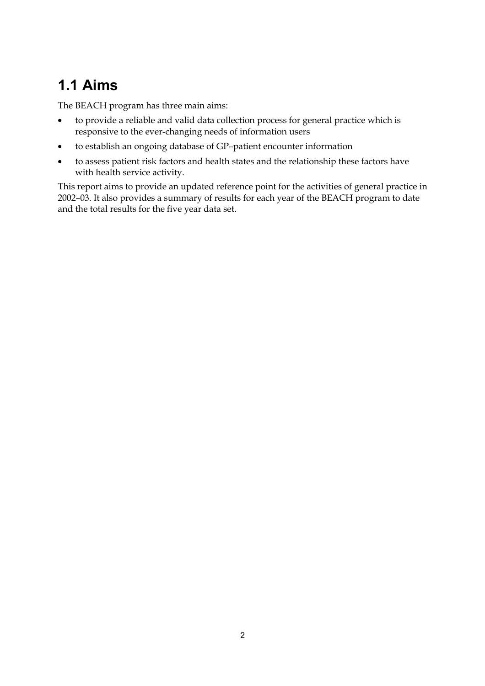## **1.1 Aims**

The BEACH program has three main aims:

- to provide a reliable and valid data collection process for general practice which is responsive to the ever-changing needs of information users
- to establish an ongoing database of GP–patient encounter information
- to assess patient risk factors and health states and the relationship these factors have with health service activity.

This report aims to provide an updated reference point for the activities of general practice in 2002–03. It also provides a summary of results for each year of the BEACH program to date and the total results for the five year data set.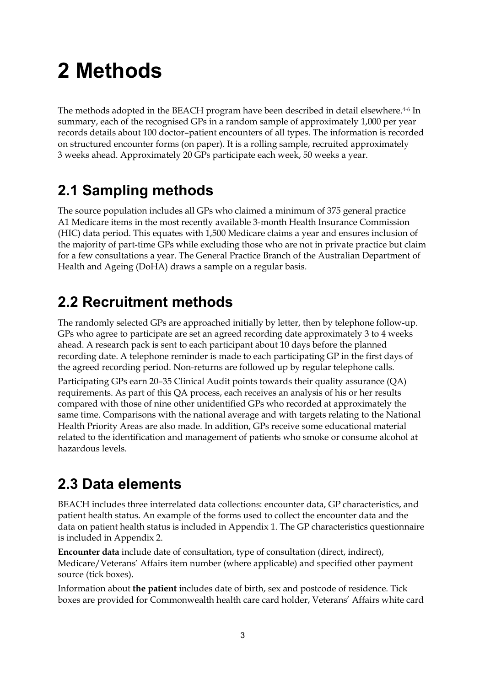# **2 Methods**

The methods adopted in the BEACH program have been described in detail elsewhere.<sup>4-6</sup> In summary, each of the recognised GPs in a random sample of approximately 1,000 per year records details about 100 doctor–patient encounters of all types. The information is recorded on structured encounter forms (on paper). It is a rolling sample, recruited approximately 3 weeks ahead. Approximately 20 GPs participate each week, 50 weeks a year.

## **2.1 Sampling methods**

The source population includes all GPs who claimed a minimum of 375 general practice A1 Medicare items in the most recently available 3-month Health Insurance Commission (HIC) data period. This equates with 1,500 Medicare claims a year and ensures inclusion of the majority of part-time GPs while excluding those who are not in private practice but claim for a few consultations a year. The General Practice Branch of the Australian Department of Health and Ageing (DoHA) draws a sample on a regular basis.

## **2.2 Recruitment methods**

The randomly selected GPs are approached initially by letter, then by telephone follow-up. GPs who agree to participate are set an agreed recording date approximately 3 to 4 weeks ahead. A research pack is sent to each participant about 10 days before the planned recording date. A telephone reminder is made to each participating GP in the first days of the agreed recording period. Non-returns are followed up by regular telephone calls.

Participating GPs earn 20–35 Clinical Audit points towards their quality assurance (QA) requirements. As part of this QA process, each receives an analysis of his or her results compared with those of nine other unidentified GPs who recorded at approximately the same time. Comparisons with the national average and with targets relating to the National Health Priority Areas are also made. In addition, GPs receive some educational material related to the identification and management of patients who smoke or consume alcohol at hazardous levels.

## **2.3 Data elements**

BEACH includes three interrelated data collections: encounter data, GP characteristics, and patient health status. An example of the forms used to collect the encounter data and the data on patient health status is included in Appendix 1. The GP characteristics questionnaire is included in Appendix 2.

**Encounter data** include date of consultation, type of consultation (direct, indirect), Medicare/Veterans' Affairs item number (where applicable) and specified other payment source (tick boxes).

Information about **the patient** includes date of birth, sex and postcode of residence. Tick boxes are provided for Commonwealth health care card holder, Veterans' Affairs white card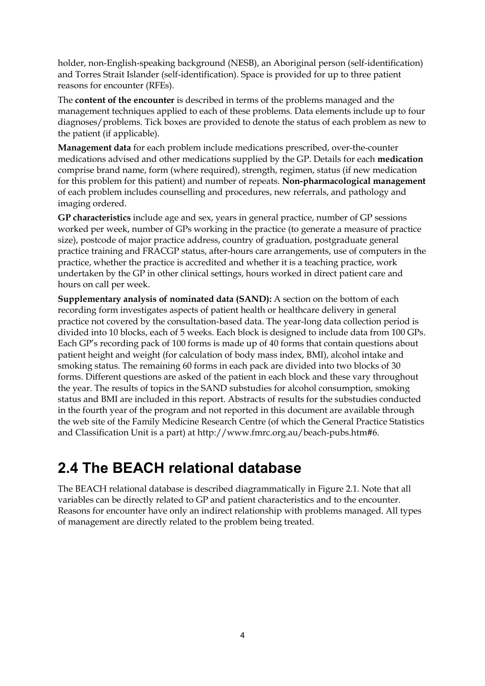holder, non-English-speaking background (NESB), an Aboriginal person (self-identification) and Torres Strait Islander (self-identification). Space is provided for up to three patient reasons for encounter (RFEs).

The **content of the encounter** is described in terms of the problems managed and the management techniques applied to each of these problems. Data elements include up to four diagnoses/problems. Tick boxes are provided to denote the status of each problem as new to the patient (if applicable).

**Management data** for each problem include medications prescribed, over-the-counter medications advised and other medications supplied by the GP. Details for each **medication** comprise brand name, form (where required), strength, regimen, status (if new medication for this problem for this patient) and number of repeats. **Non-pharmacological management** of each problem includes counselling and procedures, new referrals, and pathology and imaging ordered.

**GP characteristics** include age and sex, years in general practice, number of GP sessions worked per week, number of GPs working in the practice (to generate a measure of practice size), postcode of major practice address, country of graduation, postgraduate general practice training and FRACGP status, after-hours care arrangements, use of computers in the practice, whether the practice is accredited and whether it is a teaching practice, work undertaken by the GP in other clinical settings, hours worked in direct patient care and hours on call per week.

**Supplementary analysis of nominated data (SAND):** A section on the bottom of each recording form investigates aspects of patient health or healthcare delivery in general practice not covered by the consultation-based data. The year-long data collection period is divided into 10 blocks, each of 5 weeks. Each block is designed to include data from 100 GPs. Each GP's recording pack of 100 forms is made up of 40 forms that contain questions about patient height and weight (for calculation of body mass index, BMI), alcohol intake and smoking status. The remaining 60 forms in each pack are divided into two blocks of 30 forms. Different questions are asked of the patient in each block and these vary throughout the year. The results of topics in the SAND substudies for alcohol consumption, smoking status and BMI are included in this report. Abstracts of results for the substudies conducted in the fourth year of the program and not reported in this document are available through the web site of the Family Medicine Research Centre (of which the General Practice Statistics and Classification Unit is a part) at http://www.fmrc.org.au/beach-pubs.htm#6.

## **2.4 The BEACH relational database**

The BEACH relational database is described diagrammatically in Figure 2.1. Note that all variables can be directly related to GP and patient characteristics and to the encounter. Reasons for encounter have only an indirect relationship with problems managed. All types of management are directly related to the problem being treated.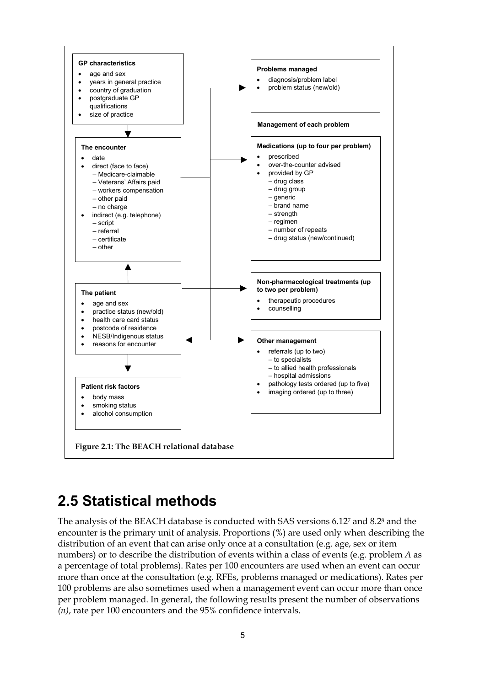

## **2.5 Statistical methods**

The analysis of the BEACH database is conducted with SAS versions 6.127 and 8.28 and the encounter is the primary unit of analysis. Proportions (%) are used only when describing the distribution of an event that can arise only once at a consultation (e.g. age, sex or item numbers) or to describe the distribution of events within a class of events (e.g. problem *A* as a percentage of total problems). Rates per 100 encounters are used when an event can occur more than once at the consultation (e.g. RFEs, problems managed or medications). Rates per 100 problems are also sometimes used when a management event can occur more than once per problem managed. In general, the following results present the number of observations *(n)*, rate per 100 encounters and the 95% confidence intervals.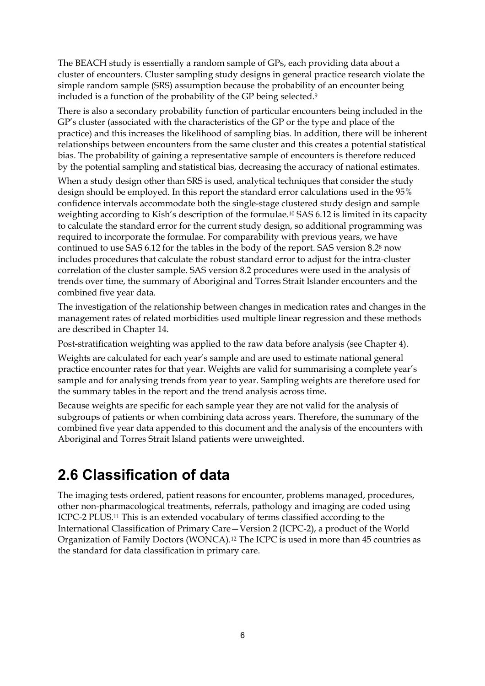The BEACH study is essentially a random sample of GPs, each providing data about a cluster of encounters. Cluster sampling study designs in general practice research violate the simple random sample (SRS) assumption because the probability of an encounter being included is a function of the probability of the GP being selected.9

There is also a secondary probability function of particular encounters being included in the GP's cluster (associated with the characteristics of the GP or the type and place of the practice) and this increases the likelihood of sampling bias. In addition, there will be inherent relationships between encounters from the same cluster and this creates a potential statistical bias. The probability of gaining a representative sample of encounters is therefore reduced by the potential sampling and statistical bias, decreasing the accuracy of national estimates.

When a study design other than SRS is used, analytical techniques that consider the study design should be employed. In this report the standard error calculations used in the 95% confidence intervals accommodate both the single-stage clustered study design and sample weighting according to Kish's description of the formulae.10 SAS 6.12 is limited in its capacity to calculate the standard error for the current study design, so additional programming was required to incorporate the formulae. For comparability with previous years, we have continued to use SAS 6.12 for the tables in the body of the report. SAS version 8.28 now includes procedures that calculate the robust standard error to adjust for the intra-cluster correlation of the cluster sample. SAS version 8.2 procedures were used in the analysis of trends over time, the summary of Aboriginal and Torres Strait Islander encounters and the combined five year data.

The investigation of the relationship between changes in medication rates and changes in the management rates of related morbidities used multiple linear regression and these methods are described in Chapter 14.

Post-stratification weighting was applied to the raw data before analysis (see Chapter 4).

Weights are calculated for each year's sample and are used to estimate national general practice encounter rates for that year. Weights are valid for summarising a complete year's sample and for analysing trends from year to year. Sampling weights are therefore used for the summary tables in the report and the trend analysis across time.

Because weights are specific for each sample year they are not valid for the analysis of subgroups of patients or when combining data across years. Therefore, the summary of the combined five year data appended to this document and the analysis of the encounters with Aboriginal and Torres Strait Island patients were unweighted.

## **2.6 Classification of data**

The imaging tests ordered, patient reasons for encounter, problems managed, procedures, other non-pharmacological treatments, referrals, pathology and imaging are coded using ICPC-2 PLUS.11 This is an extended vocabulary of terms classified according to the International Classification of Primary Care—Version 2 (ICPC-2), a product of the World Organization of Family Doctors (WONCA).12 The ICPC is used in more than 45 countries as the standard for data classification in primary care.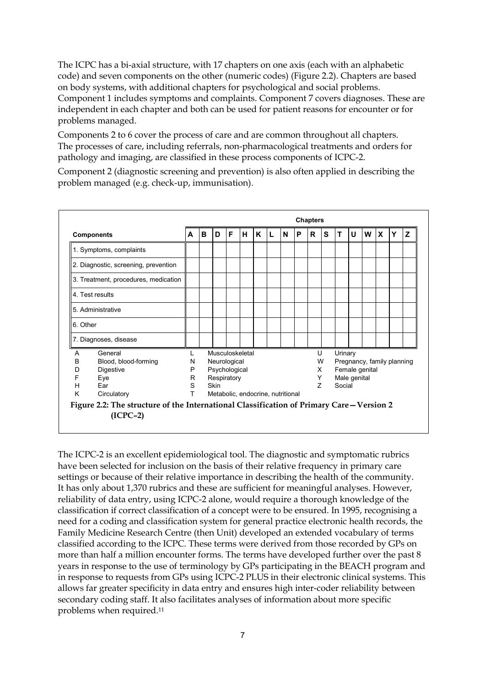The ICPC has a bi-axial structure, with 17 chapters on one axis (each with an alphabetic code) and seven components on the other (numeric codes) (Figure 2.2). Chapters are based on body systems, with additional chapters for psychological and social problems. Component 1 includes symptoms and complaints. Component 7 covers diagnoses. These are independent in each chapter and both can be used for patient reasons for encounter or for problems managed.

Components 2 to 6 cover the process of care and are common throughout all chapters. The processes of care, including referrals, non-pharmacological treatments and orders for pathology and imaging, are classified in these process components of ICPC-2.

Component 2 (diagnostic screening and prevention) is also often applied in describing the problem managed (e.g. check-up, immunisation).



The ICPC-2 is an excellent epidemiological tool. The diagnostic and symptomatic rubrics have been selected for inclusion on the basis of their relative frequency in primary care settings or because of their relative importance in describing the health of the community. It has only about 1,370 rubrics and these are sufficient for meaningful analyses. However, reliability of data entry, using ICPC-2 alone, would require a thorough knowledge of the classification if correct classification of a concept were to be ensured. In 1995, recognising a need for a coding and classification system for general practice electronic health records, the Family Medicine Research Centre (then Unit) developed an extended vocabulary of terms classified according to the ICPC. These terms were derived from those recorded by GPs on more than half a million encounter forms. The terms have developed further over the past 8 years in response to the use of terminology by GPs participating in the BEACH program and in response to requests from GPs using ICPC-2 PLUS in their electronic clinical systems. This allows far greater specificity in data entry and ensures high inter-coder reliability between secondary coding staff. It also facilitates analyses of information about more specific problems when required.11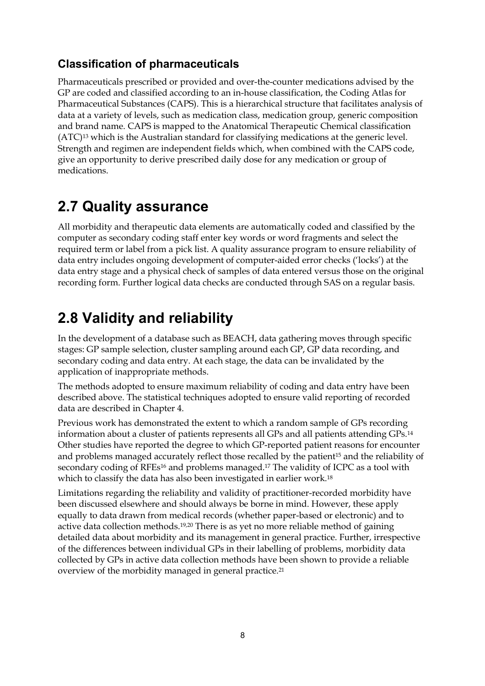### **Classification of pharmaceuticals**

Pharmaceuticals prescribed or provided and over-the-counter medications advised by the GP are coded and classified according to an in-house classification, the Coding Atlas for Pharmaceutical Substances (CAPS). This is a hierarchical structure that facilitates analysis of data at a variety of levels, such as medication class, medication group, generic composition and brand name. CAPS is mapped to the Anatomical Therapeutic Chemical classification (ATC)13 which is the Australian standard for classifying medications at the generic level. Strength and regimen are independent fields which, when combined with the CAPS code, give an opportunity to derive prescribed daily dose for any medication or group of medications.

## **2.7 Quality assurance**

All morbidity and therapeutic data elements are automatically coded and classified by the computer as secondary coding staff enter key words or word fragments and select the required term or label from a pick list. A quality assurance program to ensure reliability of data entry includes ongoing development of computer-aided error checks ('locks') at the data entry stage and a physical check of samples of data entered versus those on the original recording form. Further logical data checks are conducted through SAS on a regular basis.

## **2.8 Validity and reliability**

In the development of a database such as BEACH, data gathering moves through specific stages: GP sample selection, cluster sampling around each GP, GP data recording, and secondary coding and data entry. At each stage, the data can be invalidated by the application of inappropriate methods.

The methods adopted to ensure maximum reliability of coding and data entry have been described above. The statistical techniques adopted to ensure valid reporting of recorded data are described in Chapter 4.

Previous work has demonstrated the extent to which a random sample of GPs recording information about a cluster of patients represents all GPs and all patients attending GPs.14 Other studies have reported the degree to which GP-reported patient reasons for encounter and problems managed accurately reflect those recalled by the patient<sup>15</sup> and the reliability of secondary coding of RFEs<sup>16</sup> and problems managed.<sup>17</sup> The validity of ICPC as a tool with which to classify the data has also been investigated in earlier work.18

Limitations regarding the reliability and validity of practitioner-recorded morbidity have been discussed elsewhere and should always be borne in mind. However, these apply equally to data drawn from medical records (whether paper-based or electronic) and to active data collection methods.19,20 There is as yet no more reliable method of gaining detailed data about morbidity and its management in general practice. Further, irrespective of the differences between individual GPs in their labelling of problems, morbidity data collected by GPs in active data collection methods have been shown to provide a reliable overview of the morbidity managed in general practice.21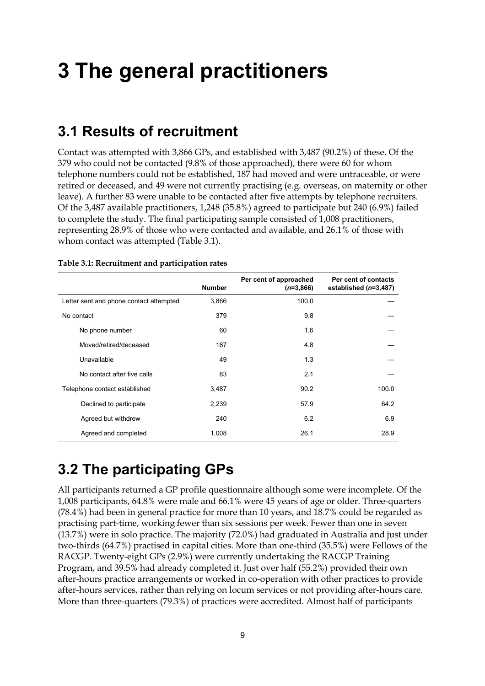## **3 The general practitioners**

### **3.1 Results of recruitment**

Contact was attempted with 3,866 GPs, and established with 3,487 (90.2%) of these. Of the 379 who could not be contacted (9.8% of those approached), there were 60 for whom telephone numbers could not be established, 187 had moved and were untraceable, or were retired or deceased, and 49 were not currently practising (e.g. overseas, on maternity or other leave). A further 83 were unable to be contacted after five attempts by telephone recruiters. Of the 3,487 available practitioners, 1,248 (35.8%) agreed to participate but 240 (6.9%) failed to complete the study. The final participating sample consisted of 1,008 practitioners, representing 28.9% of those who were contacted and available, and 26.1% of those with whom contact was attempted (Table 3.1).

|                                         | <b>Number</b> | Per cent of approached<br>$(n=3,866)$ | Per cent of contacts<br>established $(n=3,487)$ |
|-----------------------------------------|---------------|---------------------------------------|-------------------------------------------------|
| Letter sent and phone contact attempted | 3,866         | 100.0                                 |                                                 |
| No contact                              | 379           | 9.8                                   |                                                 |
| No phone number                         | 60            | 1.6                                   |                                                 |
| Moved/retired/deceased                  | 187           | 4.8                                   |                                                 |
| Unavailable                             | 49            | 1.3                                   |                                                 |
| No contact after five calls             | 83            | 2.1                                   |                                                 |
| Telephone contact established           | 3,487         | 90.2                                  | 100.0                                           |
| Declined to participate                 | 2,239         | 57.9                                  | 64.2                                            |
| Agreed but withdrew                     | 240           | 6.2                                   | 6.9                                             |
| Agreed and completed                    | 1,008         | 26.1                                  | 28.9                                            |

#### **Table 3.1: Recruitment and participation rates**

## **3.2 The participating GPs**

All participants returned a GP profile questionnaire although some were incomplete. Of the 1,008 participants, 64.8% were male and 66.1% were 45 years of age or older. Three-quarters (78.4%) had been in general practice for more than 10 years, and 18.7% could be regarded as practising part-time, working fewer than six sessions per week. Fewer than one in seven (13.7%) were in solo practice. The majority (72.0%) had graduated in Australia and just under two-thirds (64.7%) practised in capital cities. More than one-third (35.5%) were Fellows of the RACGP. Twenty-eight GPs (2.9%) were currently undertaking the RACGP Training Program, and 39.5% had already completed it. Just over half (55.2%) provided their own after-hours practice arrangements or worked in co-operation with other practices to provide after-hours services, rather than relying on locum services or not providing after-hours care. More than three-quarters (79.3%) of practices were accredited. Almost half of participants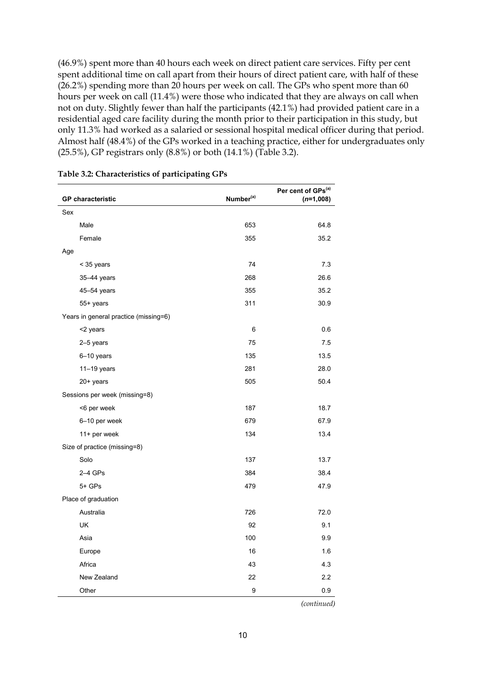(46.9%) spent more than 40 hours each week on direct patient care services. Fifty per cent spent additional time on call apart from their hours of direct patient care, with half of these (26.2%) spending more than 20 hours per week on call. The GPs who spent more than 60 hours per week on call (11.4%) were those who indicated that they are always on call when not on duty. Slightly fewer than half the participants (42.1%) had provided patient care in a residential aged care facility during the month prior to their participation in this study, but only 11.3% had worked as a salaried or sessional hospital medical officer during that period. Almost half (48.4%) of the GPs worked in a teaching practice, either for undergraduates only (25.5%), GP registrars only (8.8%) or both (14.1%) (Table 3.2).

| <b>GP</b> characteristic              | Number <sup>(a)</sup> | Per cent of GPs <sup>(a)</sup><br>$(n=1,008)$ |
|---------------------------------------|-----------------------|-----------------------------------------------|
| Sex                                   |                       |                                               |
| Male                                  | 653                   | 64.8                                          |
| Female                                | 355                   | 35.2                                          |
| Age                                   |                       |                                               |
| < 35 years                            | 74                    | 7.3                                           |
| 35-44 years                           | 268                   | 26.6                                          |
| 45-54 years                           | 355                   | 35.2                                          |
| 55+ years                             | 311                   | 30.9                                          |
| Years in general practice (missing=6) |                       |                                               |
| <2 years                              | 6                     | 0.6                                           |
| 2-5 years                             | 75                    | 7.5                                           |
| 6-10 years                            | 135                   | 13.5                                          |
| $11-19$ years                         | 281                   | 28.0                                          |
| 20+ years                             | 505                   | 50.4                                          |
| Sessions per week (missing=8)         |                       |                                               |
| <6 per week                           | 187                   | 18.7                                          |
| 6-10 per week                         | 679                   | 67.9                                          |
| 11+ per week                          | 134                   | 13.4                                          |
| Size of practice (missing=8)          |                       |                                               |
| Solo                                  | 137                   | 13.7                                          |
| $2-4$ GPs                             | 384                   | 38.4                                          |
| 5+ GPs                                | 479                   | 47.9                                          |
| Place of graduation                   |                       |                                               |
| Australia                             | 726                   | 72.0                                          |
| UK                                    | 92                    | 9.1                                           |
| Asia                                  | 100                   | 9.9                                           |
| Europe                                | 16                    | 1.6                                           |
| Africa                                | 43                    | 4.3                                           |
| New Zealand                           | 22                    | 2.2                                           |
| Other                                 | 9                     | 0.9                                           |

*(continued)*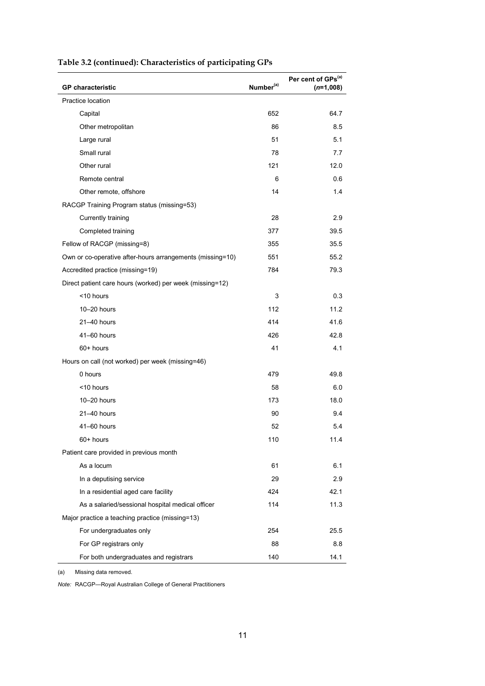| <b>GP</b> characteristic                                  | Number <sup>(a)</sup> | Per cent of GPs <sup>(a)</sup><br>$(n=1,008)$ |
|-----------------------------------------------------------|-----------------------|-----------------------------------------------|
| Practice location                                         |                       |                                               |
| Capital                                                   | 652                   | 64.7                                          |
| Other metropolitan                                        | 86                    | 8.5                                           |
| Large rural                                               | 51                    | 5.1                                           |
| Small rural                                               | 78                    | 7.7                                           |
| Other rural                                               | 121                   | 12.0                                          |
| Remote central                                            | 6                     | 0.6                                           |
| Other remote, offshore                                    | 14                    | 1.4                                           |
| RACGP Training Program status (missing=53)                |                       |                                               |
| Currently training                                        | 28                    | 2.9                                           |
| Completed training                                        | 377                   | 39.5                                          |
| Fellow of RACGP (missing=8)                               | 355                   | 35.5                                          |
| Own or co-operative after-hours arrangements (missing=10) | 551                   | 55.2                                          |
| Accredited practice (missing=19)                          | 784                   | 79.3                                          |
| Direct patient care hours (worked) per week (missing=12)  |                       |                                               |
| <10 hours                                                 | 3                     | 0.3                                           |
| 10-20 hours                                               | 112                   | 11.2                                          |
| 21-40 hours                                               | 414                   | 41.6                                          |
| 41-60 hours                                               | 426                   | 42.8                                          |
| 60+ hours                                                 | 41                    | 4.1                                           |
| Hours on call (not worked) per week (missing=46)          |                       |                                               |
| 0 hours                                                   | 479                   | 49.8                                          |
| <10 hours                                                 | 58                    | 6.0                                           |
| 10-20 hours                                               | 173                   | 18.0                                          |
| 21-40 hours                                               | 90                    | 9.4                                           |
| 41-60 hours                                               | 52                    | 5.4                                           |
| 60+ hours                                                 | 110                   | 11.4                                          |
| Patient care provided in previous month                   |                       |                                               |
| As a locum                                                | 61                    | 6.1                                           |
| In a deputising service                                   | 29                    | 2.9                                           |
| In a residential aged care facility                       | 424                   | 42.1                                          |
| As a salaried/sessional hospital medical officer          | 114                   | 11.3                                          |
| Major practice a teaching practice (missing=13)           |                       |                                               |
| For undergraduates only                                   | 254                   | 25.5                                          |
| For GP registrars only                                    | 88                    | 8.8                                           |
| For both undergraduates and registrars                    | 140                   | 14.1                                          |

#### **Table 3.2 (continued): Characteristics of participating GPs**

(a) Missing data removed.

*Note:* RACGP—Royal Australian College of General Practitioners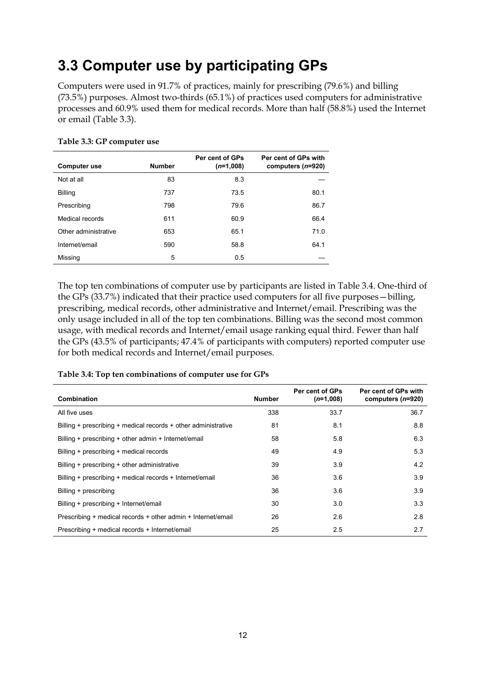## **3.3 Computer use by participating GPs**

Computers were used in 91.7% of practices, mainly for prescribing (79.6%) and billing (73.5%) purposes. Almost two-thirds (65.1%) of practices used computers for administrative processes and 60.9% used them for medical records. More than half (58.8%) used the Internet or email (Table 3.3).

| <b>Computer use</b>  | <b>Number</b> | Per cent of GPs<br>$(n=1,008)$ | Per cent of GPs with<br>computers $(n=920)$ |
|----------------------|---------------|--------------------------------|---------------------------------------------|
| Not at all           | 83            | 8.3                            |                                             |
| <b>Billing</b>       | 737           | 73.5                           | 80.1                                        |
| Prescribing          | 798           | 79.6                           | 86.7                                        |
| Medical records      | 611           | 60.9                           | 66.4                                        |
| Other administrative | 653           | 65.1                           | 71.0                                        |
| Internet/email       | 590           | 58.8                           | 64.1                                        |
| Missing              | 5             | 0.5                            |                                             |

#### **Table 3.3: GP computer use**

The top ten combinations of computer use by participants are listed in Table 3.4. One-third of the GPs (33.7%) indicated that their practice used computers for all five purposes—billing, prescribing, medical records, other administrative and Internet/email. Prescribing was the only usage included in all of the top ten combinations. Billing was the second most common usage, with medical records and Internet/email usage ranking equal third. Fewer than half the GPs (43.5% of participants; 47.4% of participants with computers) reported computer use for both medical records and Internet/email purposes.

| Table 3.4: Top ten combinations of computer use for GPs |  |  |
|---------------------------------------------------------|--|--|
|---------------------------------------------------------|--|--|

| <b>Combination</b>                                             | <b>Number</b> | Per cent of GPs<br>$(n=1,008)$ | Per cent of GPs with<br>computers $(n=920)$ |
|----------------------------------------------------------------|---------------|--------------------------------|---------------------------------------------|
| All five uses                                                  | 338           | 33.7                           | 36.7                                        |
| Billing + prescribing + medical records + other administrative | 81            | 8.1                            | 8.8                                         |
| Billing + prescribing + other admin + Internet/email           | 58            | 5.8                            | 6.3                                         |
| Billing + prescribing + medical records                        | 49            | 4.9                            | 5.3                                         |
| Billing + prescribing + other administrative                   | 39            | 3.9                            | 4.2                                         |
| Billing + prescribing + medical records + Internet/email       | 36            | 3.6                            | 3.9                                         |
| Billing + prescribing                                          | 36            | 3.6                            | 3.9                                         |
| Billing + prescribing + Internet/email                         | 30            | 3.0                            | 3.3                                         |
| Prescribing + medical records + other admin + Internet/email   | 26            | 2.6                            | 2.8                                         |
| Prescribing + medical records + Internet/email                 | 25            | 2.5                            | 2.7                                         |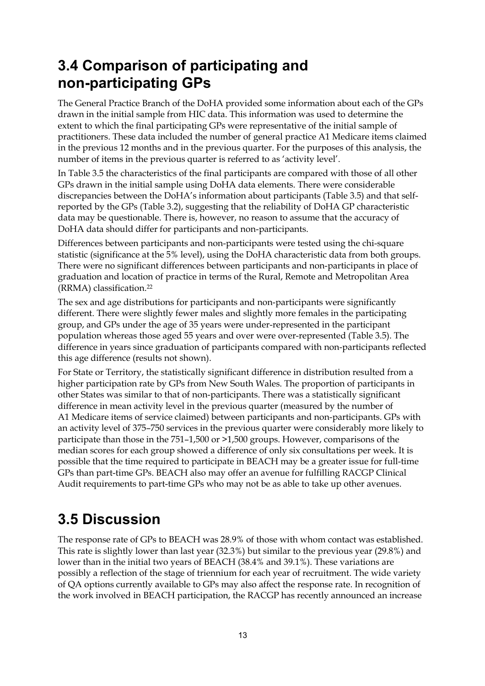## **3.4 Comparison of participating and non-participating GPs**

The General Practice Branch of the DoHA provided some information about each of the GPs drawn in the initial sample from HIC data. This information was used to determine the extent to which the final participating GPs were representative of the initial sample of practitioners. These data included the number of general practice A1 Medicare items claimed in the previous 12 months and in the previous quarter. For the purposes of this analysis, the number of items in the previous quarter is referred to as 'activity level'.

In Table 3.5 the characteristics of the final participants are compared with those of all other GPs drawn in the initial sample using DoHA data elements. There were considerable discrepancies between the DoHA's information about participants (Table 3.5) and that selfreported by the GPs (Table 3.2), suggesting that the reliability of DoHA GP characteristic data may be questionable. There is, however, no reason to assume that the accuracy of DoHA data should differ for participants and non-participants.

Differences between participants and non-participants were tested using the chi-square statistic (significance at the 5% level), using the DoHA characteristic data from both groups. There were no significant differences between participants and non-participants in place of graduation and location of practice in terms of the Rural, Remote and Metropolitan Area (RRMA) classification.22

The sex and age distributions for participants and non-participants were significantly different. There were slightly fewer males and slightly more females in the participating group, and GPs under the age of 35 years were under-represented in the participant population whereas those aged 55 years and over were over-represented (Table 3.5). The difference in years since graduation of participants compared with non-participants reflected this age difference (results not shown).

For State or Territory, the statistically significant difference in distribution resulted from a higher participation rate by GPs from New South Wales. The proportion of participants in other States was similar to that of non-participants. There was a statistically significant difference in mean activity level in the previous quarter (measured by the number of A1 Medicare items of service claimed) between participants and non-participants. GPs with an activity level of 375–750 services in the previous quarter were considerably more likely to participate than those in the 751–1,500 or >1,500 groups. However, comparisons of the median scores for each group showed a difference of only six consultations per week. It is possible that the time required to participate in BEACH may be a greater issue for full-time GPs than part-time GPs. BEACH also may offer an avenue for fulfilling RACGP Clinical Audit requirements to part-time GPs who may not be as able to take up other avenues.

## **3.5 Discussion**

The response rate of GPs to BEACH was 28.9% of those with whom contact was established. This rate is slightly lower than last year (32.3%) but similar to the previous year (29.8%) and lower than in the initial two years of BEACH (38.4% and 39.1%). These variations are possibly a reflection of the stage of triennium for each year of recruitment. The wide variety of QA options currently available to GPs may also affect the response rate. In recognition of the work involved in BEACH participation, the RACGP has recently announced an increase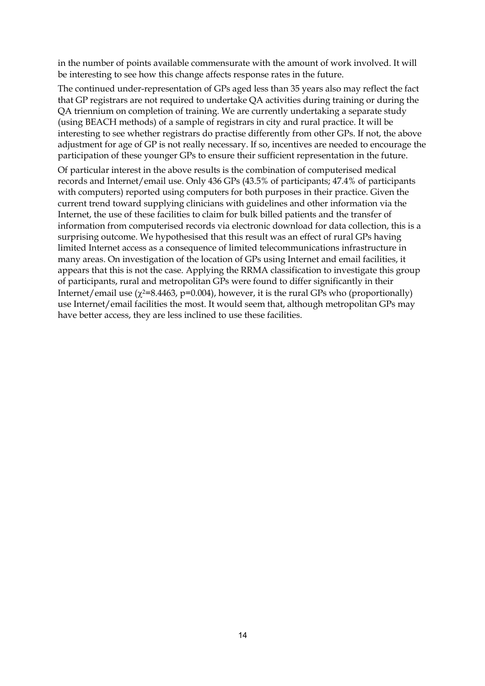in the number of points available commensurate with the amount of work involved. It will be interesting to see how this change affects response rates in the future.

The continued under-representation of GPs aged less than 35 years also may reflect the fact that GP registrars are not required to undertake QA activities during training or during the QA triennium on completion of training. We are currently undertaking a separate study (using BEACH methods) of a sample of registrars in city and rural practice. It will be interesting to see whether registrars do practise differently from other GPs. If not, the above adjustment for age of GP is not really necessary. If so, incentives are needed to encourage the participation of these younger GPs to ensure their sufficient representation in the future.

Of particular interest in the above results is the combination of computerised medical records and Internet/email use. Only 436 GPs (43.5% of participants; 47.4% of participants with computers) reported using computers for both purposes in their practice. Given the current trend toward supplying clinicians with guidelines and other information via the Internet, the use of these facilities to claim for bulk billed patients and the transfer of information from computerised records via electronic download for data collection, this is a surprising outcome. We hypothesised that this result was an effect of rural GPs having limited Internet access as a consequence of limited telecommunications infrastructure in many areas. On investigation of the location of GPs using Internet and email facilities, it appears that this is not the case. Applying the RRMA classification to investigate this group of participants, rural and metropolitan GPs were found to differ significantly in their Internet/email use ( $\chi$ 2=8.4463, p=0.004), however, it is the rural GPs who (proportionally) use Internet/email facilities the most. It would seem that, although metropolitan GPs may have better access, they are less inclined to use these facilities.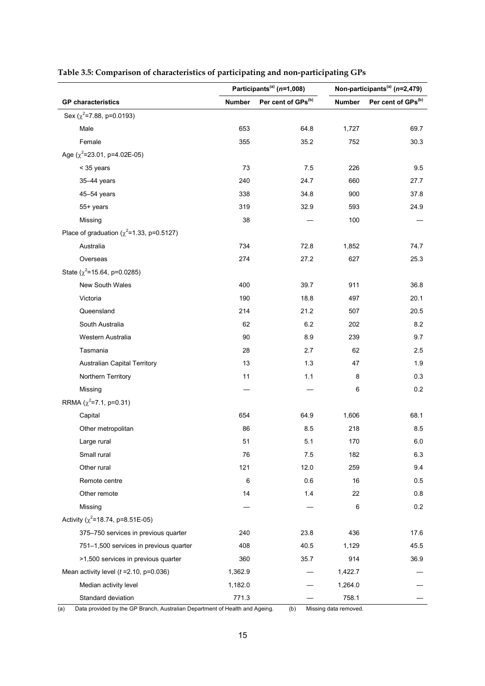|                                                 | Participants <sup>(a)</sup> (n=1,008) |                                | Non-participants <sup>(a)</sup> ( $n=2,479$ ) |                    |  |
|-------------------------------------------------|---------------------------------------|--------------------------------|-----------------------------------------------|--------------------|--|
| <b>GP</b> characteristics                       | <b>Number</b>                         | Per cent of GPs <sup>(b)</sup> | <b>Number</b>                                 | Per cent of GPs(b) |  |
| Sex ( $\chi^2$ =7.88, p=0.0193)                 |                                       |                                |                                               |                    |  |
| Male                                            | 653                                   | 64.8                           | 1,727                                         | 69.7               |  |
| Female                                          | 355                                   | 35.2                           | 752                                           | 30.3               |  |
| Age ( $\chi^2$ =23.01, p=4.02E-05)              |                                       |                                |                                               |                    |  |
| < 35 years                                      | 73                                    | 7.5                            | 226                                           | 9.5                |  |
| 35-44 years                                     | 240                                   | 24.7                           | 660                                           | 27.7               |  |
| 45-54 years                                     | 338                                   | 34.8                           | 900                                           | 37.8               |  |
| 55+ years                                       | 319                                   | 32.9                           | 593                                           | 24.9               |  |
| Missing                                         | 38                                    |                                | 100                                           |                    |  |
| Place of graduation ( $\chi^2$ =1.33, p=0.5127) |                                       |                                |                                               |                    |  |
| Australia                                       | 734                                   | 72.8                           | 1,852                                         | 74.7               |  |
| Overseas                                        | 274                                   | 27.2                           | 627                                           | 25.3               |  |
| State ( $\chi^2$ =15.64, p=0.0285)              |                                       |                                |                                               |                    |  |
| New South Wales                                 | 400                                   | 39.7                           | 911                                           | 36.8               |  |
| Victoria                                        | 190                                   | 18.8                           | 497                                           | 20.1               |  |
| Queensland                                      | 214                                   | 21.2                           | 507                                           | 20.5               |  |
| South Australia                                 | 62                                    | 6.2                            | 202                                           | 8.2                |  |
| Western Australia                               | 90                                    | 8.9                            | 239                                           | 9.7                |  |
| Tasmania                                        | 28                                    | 2.7                            | 62                                            | 2.5                |  |
| <b>Australian Capital Territory</b>             | 13                                    | 1.3                            | 47                                            | 1.9                |  |
| Northern Territory                              | 11                                    | 1.1                            | 8                                             | 0.3                |  |
| Missing                                         |                                       |                                | 6                                             | 0.2                |  |
| RRMA $(\chi^2 = 7.1, p = 0.31)$                 |                                       |                                |                                               |                    |  |
| Capital                                         | 654                                   | 64.9                           | 1,606                                         | 68.1               |  |
| Other metropolitan                              | 86                                    | 8.5                            | 218                                           | 8.5                |  |
| Large rural                                     | 51                                    | 5.1                            | 170                                           | 6.0                |  |
| Small rural                                     | 76                                    | 7.5                            | 182                                           | 6.3                |  |
| Other rural                                     | 121                                   | 12.0                           | 259                                           | 9.4                |  |
| Remote centre                                   | 6                                     | 0.6                            | 16                                            | 0.5                |  |
| Other remote                                    | 14                                    | 1.4                            | 22                                            | 0.8                |  |
| Missing                                         |                                       |                                | 6                                             | 0.2                |  |
| Activity ( $\chi^2$ =18.74, p=8.51E-05)         |                                       |                                |                                               |                    |  |
| 375-750 services in previous quarter            | 240                                   | 23.8                           | 436                                           | 17.6               |  |
| 751-1,500 services in previous quarter          | 408                                   | 40.5                           | 1,129                                         | 45.5               |  |
| >1,500 services in previous quarter             | 360                                   | 35.7                           | 914                                           | 36.9               |  |
| Mean activity level $(t = 2.10, p = 0.036)$     | 1,362.9                               |                                | 1,422.7                                       |                    |  |
| Median activity level                           | 1,182.0                               |                                | 1,264.0                                       |                    |  |
| Standard deviation                              | 771.3                                 |                                | 758.1                                         |                    |  |

### **Table 3.5: Comparison of characteristics of participating and non-participating GPs**

(a) Data provided by the GP Branch, Australian Department of Health and Ageing. (b) Missing data removed.